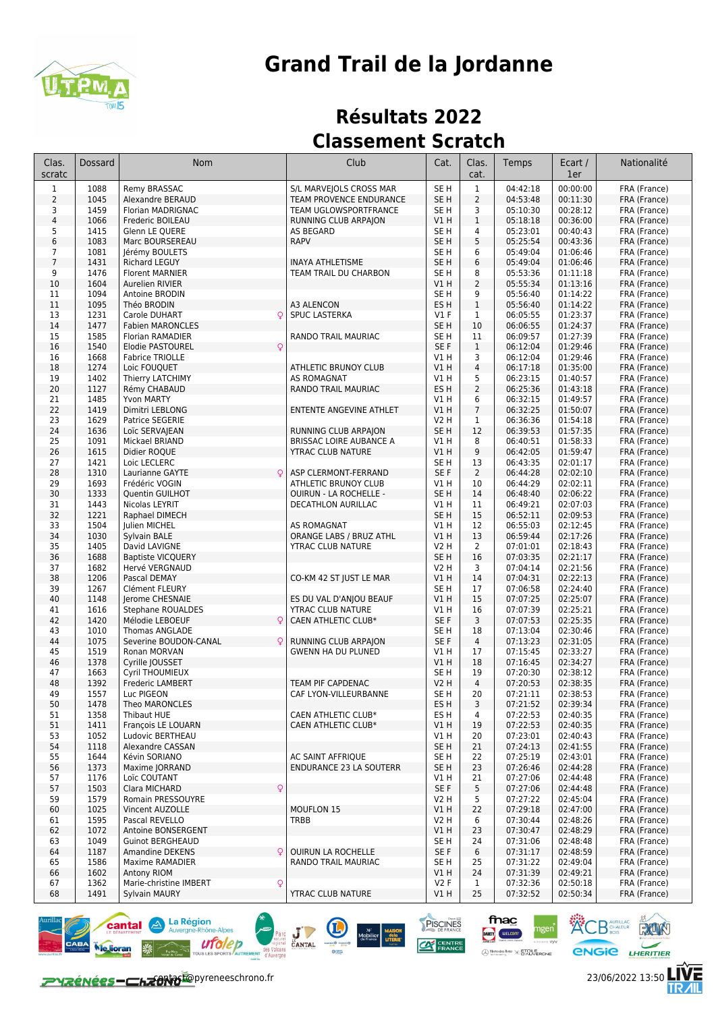

## **Résultats 2022 Classement Scratch**

| Clas.<br>scratc | Dossard      | Nom                                                  | Club                                            | Cat.                               | Clas.<br>cat.  | Temps                | Ecart /<br>1er       | Nationalité                  |
|-----------------|--------------|------------------------------------------------------|-------------------------------------------------|------------------------------------|----------------|----------------------|----------------------|------------------------------|
| $\mathbf{1}$    | 1088         | Remy BRASSAC                                         | S/L MARVEJOLS CROSS MAR                         | SE <sub>H</sub>                    | $\mathbf{1}$   | 04:42:18             | 00:00:00             | FRA (France)                 |
| $\overline{2}$  | 1045         | Alexandre BERAUD                                     | TEAM PROVENCE ENDURANCE                         | SE <sub>H</sub>                    | $\mathsf 2$    | 04:53:48             | 00:11:30             | FRA (France)                 |
| 3               | 1459         | Florian MADRIGNAC                                    | TEAM UGLOWSPORTFRANCE                           | SE <sub>H</sub>                    | 3              | 05:10:30             | 00:28:12             | FRA (France)                 |
| $\sqrt{4}$      | 1066         | Frederic BOILEAU                                     | RUNNING CLUB ARPAJON                            | VIH                                | $\mathbf{1}$   | 05:18:18             | 00:36:00             | FRA (France)                 |
| 5<br>6          | 1415<br>1083 | Glenn LE QUERE<br>Marc BOURSEREAU                    | AS BEGARD<br><b>RAPV</b>                        | SE <sub>H</sub><br>SE <sub>H</sub> | 4<br>5         | 05:23:01<br>05:25:54 | 00:40:43<br>00:43:36 | FRA (France)                 |
| 7               | 1081         | Jérémy BOULETS                                       |                                                 | SE <sub>H</sub>                    | 6              | 05:49:04             | 01:06:46             | FRA (France)<br>FRA (France) |
| $\overline{7}$  | 1431         | <b>Richard LEGUY</b>                                 | <b>INAYA ATHLETISME</b>                         | SE <sub>H</sub>                    | 6              | 05:49:04             | 01:06:46             | FRA (France)                 |
| 9               | 1476         | <b>Florent MARNIER</b>                               | TEAM TRAIL DU CHARBON                           | SE <sub>H</sub>                    | 8              | 05:53:36             | 01:11:18             | FRA (France)                 |
| 10              | 1604         | Aurelien RIVIER                                      |                                                 | V1 H                               | $\overline{2}$ | 05:55:34             | 01:13:16             | FRA (France)                 |
| 11              | 1094         | Antoine BRODIN                                       |                                                 | SE <sub>H</sub>                    | 9              | 05:56:40             | 01:14:22             | FRA (France)                 |
| 11              | 1095         | Théo BRODIN                                          | A3 ALENCON                                      | ES <sub>H</sub>                    | $\mathbf{1}$   | 05:56:40             | 01:14:22             | FRA (France)                 |
| 13              | 1231         | Q<br>Carole DUHART                                   | SPUC LASTERKA                                   | $VI$ F                             | $\mathbf{1}$   | 06:05:55             | 01:23:37             | FRA (France)                 |
| 14<br>15        | 1477<br>1585 | <b>Fabien MARONCLES</b>                              | RANDO TRAIL MAURIAC                             | SE <sub>H</sub><br>SE <sub>H</sub> | 10<br>11       | 06:06:55<br>06:09:57 | 01:24:37<br>01:27:39 | FRA (France)<br>FRA (France) |
| 16              | 1540         | Florian RAMADIER<br>$\mathsf{Q}$<br>Elodie PASTOUREL |                                                 | SE F                               | $\mathbf{1}$   | 06:12:04             | 01:29:46             | FRA (France)                 |
| 16              | 1668         | <b>Fabrice TRIOLLE</b>                               |                                                 | V1 H                               | 3              | 06:12:04             | 01:29:46             | FRA (France)                 |
| 18              | 1274         | Loic FOUQUET                                         | ATHLETIC BRUNOY CLUB                            | V1 H                               | $\overline{4}$ | 06:17:18             | 01:35:00             | FRA (France)                 |
| 19              | 1402         | Thierry LATCHIMY                                     | AS ROMAGNAT                                     | V1 H                               | 5              | 06:23:15             | 01:40:57             | FRA (France)                 |
| 20              | 1127         | Rémy CHABAUD                                         | RANDO TRAIL MAURIAC                             | ES H                               | $\overline{2}$ | 06:25:36             | 01:43:18             | FRA (France)                 |
| 21              | 1485         | Yvon MARTY                                           |                                                 | V1 H                               | 6              | 06:32:15             | 01:49:57             | FRA (France)                 |
| 22              | 1419         | Dimitri LEBLONG                                      | ENTENTE ANGEVINE ATHLET                         | V1 H                               | $\overline{7}$ | 06:32:25             | 01:50:07             | FRA (France)                 |
| 23<br>24        | 1629<br>1636 | Patrice SEGERIE<br>Loïc SERVAJEAN                    | RUNNING CLUB ARPAION                            | V2 H<br>SE <sub>H</sub>            | 1<br>12        | 06:36:36<br>06:39:53 | 01:54:18<br>01:57:35 | FRA (France)<br>FRA (France) |
| 25              | 1091         | Mickael BRIAND                                       | <b>BRISSAC LOIRE AUBANCE A</b>                  | V1 H                               | 8              | 06:40:51             | 01:58:33             | FRA (France)                 |
| 26              | 1615         | Didier ROQUE                                         | YTRAC CLUB NATURE                               | V1 H                               | 9              | 06:42:05             | 01:59:47             | FRA (France)                 |
| 27              | 1421         | Loic LECLERC                                         |                                                 | SE <sub>H</sub>                    | 13             | 06:43:35             | 02:01:17             | FRA (France)                 |
| 28              | 1310         | Laurianne GAYTE                                      | ASP CLERMONT-FERRAND                            | SE F                               | $\overline{2}$ | 06:44:28             | 02:02:10             | FRA (France)                 |
| 29              | 1693         | Frédéric VOGIN                                       | ATHLETIC BRUNOY CLUB                            | V1 H                               | 10             | 06:44:29             | 02:02:11             | FRA (France)                 |
| 30              | 1333         | Quentin GUILHOT                                      | OUIRUN - LA ROCHELLE -                          | SE <sub>H</sub>                    | 14             | 06:48:40             | 02:06:22             | FRA (France)                 |
| 31              | 1443         | Nicolas LEYRIT                                       | DECATHLON AURILLAC                              | V1 H                               | 11             | 06:49:21             | 02:07:03             | FRA (France)                 |
| 32              | 1221<br>1504 | Raphael DIMECH                                       |                                                 | SE <sub>H</sub><br>V1 H            | 15<br>12       | 06:52:11             | 02:09:53<br>02:12:45 | FRA (France)                 |
| 33<br>34        | 1030         | Julien MICHEL<br>Sylvain BALE                        | AS ROMAGNAT<br>ORANGE LABS / BRUZ ATHL          | VIH                                | 13             | 06:55:03<br>06:59:44 | 02:17:26             | FRA (France)<br>FRA (France) |
| 35              | 1405         | David LAVIGNE                                        | YTRAC CLUB NATURE                               | V2 H                               | $\overline{2}$ | 07:01:01             | 02:18:43             | FRA (France)                 |
| 36              | 1688         | <b>Baptiste VICQUERY</b>                             |                                                 | SE <sub>H</sub>                    | 16             | 07:03:35             | 02:21:17             | FRA (France)                 |
| 37              | 1682         | Hervé VERGNAUD                                       |                                                 | V2 H                               | 3              | 07:04:14             | 02:21:56             | FRA (France)                 |
| 38              | 1206         | Pascal DEMAY                                         | CO-KM 42 ST JUST LE MAR                         | V1 H                               | 14             | 07:04:31             | 02:22:13             | FRA (France)                 |
| 39              | 1267         | Clément FLEURY                                       |                                                 | SE <sub>H</sub>                    | 17             | 07:06:58             | 02:24:40             | FRA (France)                 |
| 40              | 1148         | Jerome CHESNAIE                                      | ES DU VAL D'ANJOU BEAUF                         | V1H                                | 15             | 07:07:25             | 02:25:07             | FRA (France)                 |
| 41<br>42        | 1616<br>1420 | Stephane ROUALDES<br>Mélodie LEBOEUF<br>Q            | YTRAC CLUB NATURE<br><b>CAEN ATHLETIC CLUB*</b> | V1 H<br>SE F                       | 16<br>3        | 07:07:39<br>07:07:53 | 02:25:21<br>02:25:35 | FRA (France)<br>FRA (France) |
| 43              | 1010         | Thomas ANGLADE                                       |                                                 | SE <sub>H</sub>                    | 18             | 07:13:04             | 02:30:46             | FRA (France)                 |
| 44              | 1075         | Severine BOUDON-CANAL<br>Q                           | RUNNING CLUB ARPAJON                            | SE F                               | $\overline{4}$ | 07:13:23             | 02:31:05             | FRA (France)                 |
| 45              | 1519         | Ronan MORVAN                                         | <b>GWENN HA DU PLUNED</b>                       | V1 H                               | 17             | 07:15:45             | 02:33:27             | FRA (France)                 |
| 46              | 1378         | Cyrille JOUSSET                                      |                                                 | V1 H                               | 18             | 07:16:45             | 02:34:27             | FRA (France)                 |
| 47              | 1663         | Cyril THOUMIEUX                                      |                                                 | SE <sub>H</sub>                    | 19             | 07:20:30             | 02:38:12             | FRA (France)                 |
| 48              | 1392         | Frederic LAMBERT                                     | <b>TEAM PIF CAPDENAC</b>                        | <b>V2 H</b>                        | $\overline{4}$ | 07:20:53             | 02:38:35             | FRA (France)                 |
| 49<br>50        | 1557<br>1478 | Luc PIGEON<br>Theo MARONCLES                         | CAF LYON-VILLEURBANNE                           | SE H<br>ES H                       | 20<br>3        | 07:21:11<br>07:21:52 | 02:38:53<br>02:39:34 | FRA (France)<br>FRA (France) |
| 51              | 1358         | <b>Thibaut HUE</b>                                   | CAEN ATHLETIC CLUB*                             | ES H                               | 4              | 07:22:53             | 02:40:35             | FRA (France)                 |
| 51              | 1411         | François LE LOUARN                                   | CAEN ATHLETIC CLUB*                             | V1 H                               | 19             | 07:22:53             | 02:40:35             | FRA (France)                 |
| 53              | 1052         | Ludovic BERTHEAU                                     |                                                 | V1 H                               | 20             | 07:23:01             | 02:40:43             | FRA (France)                 |
| 54              | 1118         | Alexandre CASSAN                                     |                                                 | SE <sub>H</sub>                    | 21             | 07:24:13             | 02:41:55             | FRA (France)                 |
| 55              | 1644         | Kévin SORIANO                                        | AC SAINT AFFRIQUE                               | SE H                               | 22             | 07:25:19             | 02:43:01             | FRA (France)                 |
| 56              | 1373         | Maxime JORRAND                                       | <b>ENDURANCE 23 LA SOUTERR</b>                  | SE H                               | 23             | 07:26:46             | 02:44:28             | FRA (France)                 |
| 57              | 1176         | Loïc COUTANT                                         |                                                 | V1 H                               | 21             | 07:27:06             | 02:44:48             | FRA (France)                 |
| 57<br>59        | 1503<br>1579 | Clara MICHARD<br>Q<br>Romain PRESSOUYRE              |                                                 | SE F<br>V2 H                       | 5<br>5         | 07:27:06<br>07:27:22 | 02:44:48<br>02:45:04 | FRA (France)                 |
| 60              | 1025         | Vincent AUZOLLE                                      | <b>MOUFLON 15</b>                               | V1 H                               | 22             | 07:29:18             | 02:47:00             | FRA (France)<br>FRA (France) |
| 61              | 1595         | Pascal REVELLO                                       | TRBB                                            | V2 H                               | 6              | 07:30:44             | 02:48:26             | FRA (France)                 |
| 62              | 1072         | Antoine BONSERGENT                                   |                                                 | V1 H                               | 23             | 07:30:47             | 02:48:29             | FRA (France)                 |
| 63              | 1049         | <b>Guinot BERGHEAUD</b>                              |                                                 | SE H                               | 24             | 07:31:06             | 02:48:48             | FRA (France)                 |
| 64              | 1187         | Amandine DEKENS                                      | <b>OUIRUN LA ROCHELLE</b>                       | SE F                               | 6              | 07:31:17             | 02:48:59             | FRA (France)                 |
| 65              | 1586         | Maxime RAMADIER                                      | RANDO TRAIL MAURIAC                             | SE H                               | 25             | 07:31:22             | 02:49:04             | FRA (France)                 |
| 66              | 1602         | Antony RIOM                                          |                                                 | V1 H                               | 24             | 07:31:39             | 02:49:21             | FRA (France)                 |
| 67              | 1362         | Marie-christine IMBERT<br>Q                          |                                                 | V2F                                | $\mathbf{1}$   | 07:32:36             | 02:50:18             | FRA (France)                 |
| 68              | 1491         | Sylvain MAURY                                        | YTRAC CLUB NATURE                               | V1 H                               | 25             | 07:32:52             | 02:50:34             | FRA (France)                 |

**EXAMPLE THE MARGING CANTAL COMPANY MARGING CANTAL COMPANY COMPANY COMPANY** 



fnac

DARTY WELCOM

 $\bigoplus \underset{w \text{ otherwise } y}{\text{Merember}} \times \underset{w}{\text{ETOLERONE}}$ 

PISCINES

**CAT CENTR** 

**ACB** AURILLAC RUN

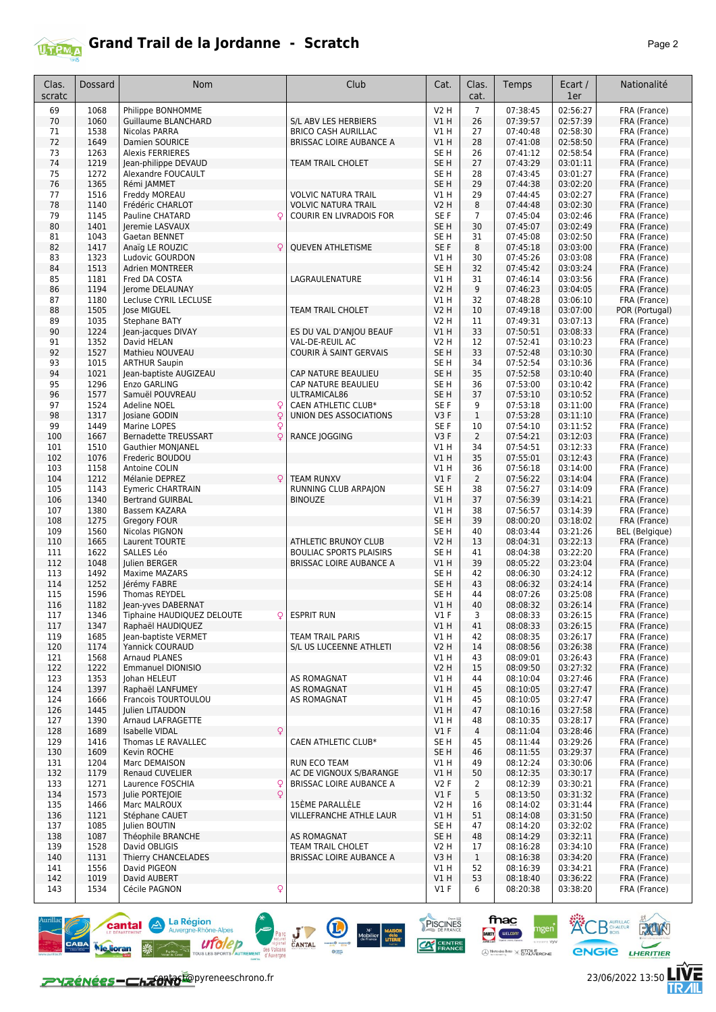

| Clas.<br>scratc | Dossard      | Nom                                             | Club                              | Cat.                    | Clas.<br>cat.        | Temps                | Ecart /<br>1er       | Nationalité                  |
|-----------------|--------------|-------------------------------------------------|-----------------------------------|-------------------------|----------------------|----------------------|----------------------|------------------------------|
|                 |              |                                                 |                                   |                         |                      |                      |                      |                              |
| 69<br>70        | 1068         | Philippe BONHOMME<br><b>Guillaume BLANCHARD</b> | S/L ABV LES HERBIERS              | <b>V2 H</b><br>VIH      | $\overline{7}$<br>26 | 07:38:45<br>07:39:57 | 02:56:27<br>02:57:39 | FRA (France)                 |
| 71              | 1060<br>1538 | Nicolas PARRA                                   | <b>BRICO CASH AURILLAC</b>        | V1 H                    | 27                   | 07:40:48             | 02:58:30             | FRA (France)<br>FRA (France) |
| 72              | 1649         | Damien SOURICE                                  | <b>BRISSAC LOIRE AUBANCE A</b>    | VIH                     | 28                   | 07:41:08             | 02:58:50             | FRA (France)                 |
| 73              | 1263         | <b>Alexis FERRIERES</b>                         |                                   | SE H                    | 26                   | 07:41:12             | 02:58:54             | FRA (France)                 |
| 74              | 1219         | Jean-philippe DEVAUD                            | TEAM TRAIL CHOLET                 | SE <sub>H</sub>         | 27                   | 07:43:29             | 03:01:11             | FRA (France)                 |
| 75              | 1272         | Alexandre FOUCAULT                              |                                   | SE <sub>H</sub>         | 28                   | 07:43:45             | 03:01:27             | FRA (France)                 |
| 76              | 1365         | Rémi JAMMET                                     |                                   | SE <sub>H</sub>         | 29                   | 07:44:38             | 03:02:20             | FRA (France)                 |
| 77              | 1516         | Freddy MOREAU                                   | <b>VOLVIC NATURA TRAIL</b>        | V1 H                    | 29                   | 07:44:45             | 03:02:27             | FRA (France)                 |
| 78              | 1140         | Frédéric CHARLOT                                | <b>VOLVIC NATURA TRAIL</b>        | V2 H                    | 8                    | 07:44:48             | 03:02:30             | FRA (France)                 |
| 79              | 1145         | Pauline CHATARD                                 | COURIR EN LIVRADOIS FOR           | SE F                    | 7                    | 07:45:04             | 03:02:46             | FRA (France)                 |
| 80              | 1401         | Jeremie LASVAUX                                 |                                   | SE <sub>H</sub>         | 30                   | 07:45:07             | 03:02:49             | FRA (France)                 |
| 81              | 1043         | Gaetan BENNET                                   |                                   | SE <sub>H</sub>         | 31                   | 07:45:08             | 03:02:50             | FRA (France)                 |
| 82              | 1417         | Anaïg LE ROUZIC                                 | <b>QUEVEN ATHLETISME</b>          | SE F                    | 8                    | 07:45:18             | 03:03:00             | FRA (France)                 |
| 83              | 1323         | Ludovic GOURDON                                 |                                   | V1 H                    | 30                   | 07:45:26             | 03:03:08             | FRA (France)                 |
| 84<br>85        | 1513<br>1181 | <b>Adrien MONTREER</b><br>Fred DA COSTA         | LAGRAULENATURE                    | SE <sub>H</sub><br>V1 H | 32<br>31             | 07:45:42<br>07:46:14 | 03:03:24<br>03:03:56 | FRA (France)<br>FRA (France) |
| 86              | 1194         | Jerome DELAUNAY                                 |                                   | V2 H                    | 9                    | 07:46:23             | 03:04:05             | FRA (France)                 |
| 87              | 1180         | Lecluse CYRIL LECLUSE                           |                                   | V1 H                    | 32                   | 07:48:28             | 03:06:10             | FRA (France)                 |
| 88              | 1505         | lose MIGUEL                                     | <b>TEAM TRAIL CHOLET</b>          | V2 H                    | 10                   | 07:49:18             | 03:07:00             | POR (Portugal)               |
| 89              | 1035         | Stephane BATY                                   |                                   | <b>V2 H</b>             | 11                   | 07:49:31             | 03:07:13             | FRA (France)                 |
| 90              | 1224         | Jean-jacques DIVAY                              | ES DU VAL D'ANJOU BEAUF           | V1 H                    | 33                   | 07:50:51             | 03:08:33             | FRA (France)                 |
| 91              | 1352         | David HELAN                                     | VAL-DE-REUIL AC                   | V2 H                    | 12                   | 07:52:41             | 03:10:23             | FRA (France)                 |
| 92              | 1527         | Mathieu NOUVEAU                                 | COURIR À SAINT GERVAIS            | SE <sub>H</sub>         | 33                   | 07:52:48             | 03:10:30             | FRA (France)                 |
| 93              | 1015         | <b>ARTHUR Saupin</b>                            |                                   | SE <sub>H</sub>         | 34                   | 07:52:54             | 03:10:36             | FRA (France)                 |
| 94              | 1021         | Jean-baptiste AUGIZEAU                          | CAP NATURE BEAULIEU               | SE <sub>H</sub>         | 35                   | 07:52:58             | 03:10:40             | FRA (France)                 |
| 95              | 1296         | Enzo GARLING                                    | CAP NATURE BEAULIEU               | SE H                    | 36                   | 07:53:00             | 03:10:42             | FRA (France)                 |
| 96              | 1577         | Samuël POUVREAU                                 | ULTRAMICAL86                      | SE H                    | 37                   | 07:53:10             | 03:10:52             | FRA (France)                 |
| 97              | 1524         | <b>Adeline NOEL</b><br>C                        | <b>CAEN ATHLETIC CLUB*</b>        | SE F                    | 9                    | 07:53:18             | 03:11:00             | FRA (France)                 |
| 98              | 1317         | Iosiane GODIN<br>Ç                              | UNION DES ASSOCIATIONS            | V3F                     | $\mathbf{1}$         | 07:53:28             | 03:11:10             | FRA (France)                 |
| 99              | 1449         | Marine LOPES<br>Q                               |                                   | SE F                    | 10                   | 07:54:10             | 03:11:52             | FRA (France)                 |
| 100             | 1667         | <b>Bernadette TREUSSART</b>                     | RANCE JOGGING                     | V3F                     | $\overline{2}$       | 07:54:21             | 03:12:03             | FRA (France)                 |
| 101             | 1510         | <b>Gauthier MONJANEL</b>                        |                                   | V1H                     | 34                   | 07:54:51             | 03:12:33             | FRA (France)                 |
| 102             | 1076         | Frederic BOUDOU                                 |                                   | VIH                     | 35                   | 07:55:01             | 03:12:43             | FRA (France)                 |
| 103             | 1158         | Antoine COLIN                                   |                                   | V1 H                    | 36                   | 07:56:18             | 03:14:00             | FRA (France)                 |
| 104             | 1212         | Mélanie DEPREZ                                  | <b>TEAM RUNXV</b>                 | V1F                     | $\overline{2}$       | 07:56:22             | 03:14:04             | FRA (France)                 |
| 105             | 1143<br>1340 | <b>Eymeric CHARTRAIN</b>                        | RUNNING CLUB ARPAJON              | SE H                    | 38<br>37             | 07:56:27             | 03:14:09             | FRA (France)                 |
| 106<br>107      | 1380         | <b>Bertrand GUIRBAL</b><br>Bassem KAZARA        | <b>BINOUZE</b>                    | V1 H<br>V1 H            | 38                   | 07:56:39<br>07:56:57 | 03:14:21<br>03:14:39 | FRA (France)                 |
| 108             | 1275         | Gregory FOUR                                    |                                   | SE H                    | 39                   | 08:00:20             | 03:18:02             | FRA (France)<br>FRA (France) |
| 109             | 1560         | Nicolas PIGNON                                  |                                   | SE H                    | 40                   | 08:03:44             | 03:21:26             | <b>BEL</b> (Belgique)        |
| 110             | 1665         | Laurent TOURTE                                  | ATHLETIC BRUNOY CLUB              | V2 H                    | 13                   | 08:04:31             | 03:22:13             | FRA (France)                 |
| 111             | 1622         | SALLES Léo                                      | <b>BOULIAC SPORTS PLAISIRS</b>    | SE H                    | 41                   | 08:04:38             | 03:22:20             | FRA (France)                 |
| 112             | 1048         | Julien BERGER                                   | <b>BRISSAC LOIRE AUBANCE A</b>    | V1 H                    | 39                   | 08:05:22             | 03:23:04             | FRA (France)                 |
| 113             | 1492         | Maxime MAZARS                                   |                                   | SE H                    | 42                   | 08:06:30             | 03:24:12             | FRA (France)                 |
| 114             | 1252         | Jérémy FABRE                                    |                                   | SE <sub>H</sub>         | 43                   | 08:06:32             | 03:24:14             | FRA (France)                 |
| 115             | 1596         | Thomas REYDEL                                   |                                   | SE H                    | 44                   | 08:07:26             | 03:25:08             | FRA (France)                 |
| 116             | 1182         | Jean-yves DABERNAT                              |                                   | V1 H                    | 40                   | 08:08:32             | 03:26:14             | FRA (France)                 |
| 117             | 1346         | Tiphaine HAUDIQUEZ DELOUTE                      | <b>ESPRIT RUN</b>                 | $VI$ F                  | 3                    | 08:08:33             | 03:26:15             | FRA (France)                 |
| 117             | 1347         | Raphaël HAUDIQUEZ                               |                                   | V1H                     | 41                   | 08:08:33             | 03:26:15             | FRA (France)                 |
| 119             | 1685         | lean-baptiste VERMET                            | <b>TEAM TRAIL PARIS</b>           | VIH                     | 42                   | 08:08:35             | 03:26:17             | FRA (France)                 |
| 120             | 1174         | Yannick COURAUD                                 | S/L US LUCEENNE ATHLETI           | <b>V2 H</b>             | 14                   | 08:08:56             | 03:26:38             | FRA (France)                 |
| 121             | 1568         | Arnaud PLANES                                   |                                   | V1 H                    | 43                   | 08:09:01             | 03:26:43             | FRA (France)                 |
| 122             | 1222         | <b>Emmanuel DIONISIO</b><br>Iohan HELEUT        |                                   | <b>V2 H</b>             | 15                   | 08:09:50             | 03:27:32             | FRA (France)                 |
| 123<br>124      | 1353<br>1397 | Raphaël LANFUMEY                                | AS ROMAGNAT<br><b>AS ROMAGNAT</b> | V1 H<br>V1H             | 44<br>45             | 08:10:04<br>08:10:05 | 03:27:46<br>03:27:47 | FRA (France)<br>FRA (France) |
| 124             | 1666         | Francois TOURTOULOU                             | AS ROMAGNAT                       | V1 H                    | 45                   | 08:10:05             | 03:27:47             | FRA (France)                 |
| 126             | 1445         | Julien LITAUDON                                 |                                   | V1H                     | 47                   | 08:10:16             | 03:27:58             | FRA (France)                 |
| 127             | 1390         | Arnaud LAFRAGETTE                               |                                   | V1 H                    | 48                   | 08:10:35             | 03:28:17             | FRA (France)                 |
| 128             | 1689         | Isabelle VIDAL                                  |                                   | V1F                     | $\overline{4}$       | 08:11:04             | 03:28:46             | FRA (France)                 |
| 129             | 1416         | Thomas LE RAVALLEC                              | CAEN ATHLETIC CLUB*               | SE H                    | 45                   | 08:11:44             | 03:29:26             | FRA (France)                 |
| 130             | 1609         | Kevin ROCHE                                     |                                   | SE H                    | 46                   | 08:11:55             | 03:29:37             | FRA (France)                 |
| 131             | 1204         | Marc DEMAISON                                   | RUN ECO TEAM                      | V1 H                    | 49                   | 08:12:24             | 03:30:06             | FRA (France)                 |
| 132             | 1179         | Renaud CUVELIER                                 | AC DE VIGNOUX S/BARANGE           | V1 H                    | 50                   | 08:12:35             | 03:30:17             | FRA (France)                 |
| 133             | 1271         | Laurence FOSCHIA<br>ç                           | BRISSAC LOIRE AUBANCE A           | V2F                     | $\overline{2}$       | 08:12:39             | 03:30:21             | FRA (France)                 |
| 134             | 1573         | $\circ$<br>Julie PORTEJOIE                      |                                   | $VI$ F                  | 5                    | 08:13:50             | 03:31:32             | FRA (France)                 |
| 135             | 1466         | Marc MALROUX                                    | 15ÈME PARALLÈLE                   | V <sub>2</sub> H        | 16                   | 08:14:02             | 03:31:44             | FRA (France)                 |
| 136             | 1121         | Stéphane CAUET                                  | VILLEFRANCHE ATHLE LAUR           | V1 H                    | 51                   | 08:14:08             | 03:31:50             | FRA (France)                 |
| 137             | 1085         | Julien BOUTIN                                   |                                   | SE H                    | 47                   | 08:14:20             | 03:32:02             | FRA (France)                 |
| 138             | 1087         | Théophile BRANCHE                               | AS ROMAGNAT                       | SE H                    | 48                   | 08:14:29             | 03:32:11             | FRA (France)                 |
| 139             | 1528         | David OBLIGIS                                   | TEAM TRAIL CHOLET                 | V2 H                    | 17                   | 08:16:28             | 03:34:10             | FRA (France)                 |
| 140             | 1131         | Thierry CHANCELADES                             | <b>BRISSAC LOIRE AUBANCE A</b>    | V3H                     | $\mathbf{1}$         | 08:16:38             | 03:34:20             | FRA (France)                 |
| 141             | 1556         | David PIGEON                                    |                                   | V1 H                    | 52                   | 08:16:39             | 03:34:21             | FRA (France)                 |
| 142             | 1019         | David AUBERT                                    |                                   | V1H                     | 53                   | 08:18:40             | 03:36:22             | FRA (France)                 |
| 143             | 1534         | Cécile PAGNON<br>Q                              |                                   | $VI$ F                  | 6                    | 08:20:38             | 03:38:20             | FRA (France)                 |

Parc J CANTAL COMPANY

PISCINES

**CAT CENTRE** 

 $M^2$ <br>
Mobilier dela<br>
de France LITERIE<br>
Australia

fnac

gen

DARTY WELCOM

 $\bigoplus \underset{w \text{ vertices } \mathcal{C}}{\text{Merccedes } \text{Renz}} \times \underset{w}{\text{ETCILE}}$ 





**KOB** SCHALEUR **ROOM** 

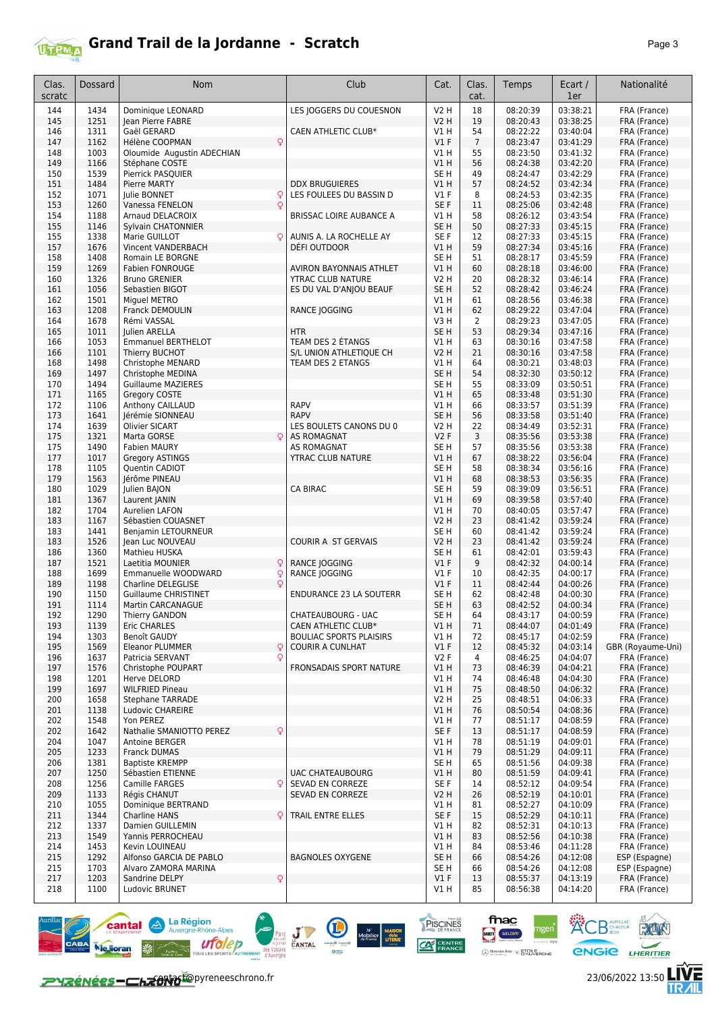

## **Grand Trail de la Jordanne - Scratch** *Page 3*

| Clas.<br>scratc | Dossard      | <b>Nom</b>                                                   | Club                                                  | Cat.                           | Clas.<br>cat.  | Temps                | Ecart /<br>1er       | Nationalité                       |
|-----------------|--------------|--------------------------------------------------------------|-------------------------------------------------------|--------------------------------|----------------|----------------------|----------------------|-----------------------------------|
| 144             | 1434         | Dominique LEONARD                                            | LES JOGGERS DU COUESNON                               | <b>V2 H</b>                    | 18             | 08:20:39             | 03:38:21             | FRA (France)                      |
| 145             | 1251         | Jean Pierre FABRE                                            |                                                       | V2 H                           | 19             | 08:20:43             | 03:38:25             | FRA (France)                      |
| 146             | 1311         | Gaël GERARD                                                  | CAEN ATHLETIC CLUB*                                   | V1 H                           | 54             | 08:22:22             | 03:40:04             | FRA (France)                      |
| 147             | 1162         | $\mathsf{Q}$<br>Hélène COOPMAN                               |                                                       | $VI$ F                         | $\overline{7}$ | 08:23:47             | 03:41:29             | FRA (France)                      |
| 148             | 1003         | Oloumide Augustin ADECHIAN                                   |                                                       | V1H                            | 55             | 08:23:50             | 03:41:32             | FRA (France)                      |
| 149             | 1166         | Stéphane COSTE                                               |                                                       | V1H                            | 56<br>49       | 08:24:38             | 03:42:20             | FRA (France)                      |
| 150<br>151      | 1539<br>1484 | Pierrick PASQUIER<br><b>Pierre MARTY</b>                     | <b>DDX BRUGUIERES</b>                                 | SE <sub>H</sub><br>VIH         | 57             | 08:24:47<br>08:24:52 | 03:42:29<br>03:42:34 | FRA (France)<br>FRA (France)      |
| 152             | 1071         | Julie BONNET<br>Q                                            | LES FOULEES DU BASSIN D                               | <b>V1 F</b>                    | 8              | 08:24:53             | 03:42:35             | FRA (France)                      |
| 153             | 1260         | Q<br>Vanessa FENELON                                         |                                                       | SE F                           | 11             | 08:25:06             | 03:42:48             | FRA (France)                      |
| 154             | 1188         | Arnaud DELACROIX                                             | BRISSAC LOIRE AUBANCE A                               | V1 H                           | 58             | 08:26:12             | 03:43:54             | FRA (France)                      |
| 155             | 1146         | Sylvain CHATONNIER                                           |                                                       | SE <sub>H</sub>                | 50             | 08:27:33             | 03:45:15             | FRA (France)                      |
| 155             | 1338         | Marie GUILLOT<br>Q                                           | AUNIS A. LA ROCHELLE AY                               | SE F                           | 12             | 08:27:33             | 03:45:15             | FRA (France)                      |
| 157<br>158      | 1676<br>1408 | Vincent VANDERBACH<br>Romain LE BORGNE                       | DÉFI OUTDOOR                                          | VIH<br>SE H                    | 59<br>51       | 08:27:34<br>08:28:17 | 03:45:16<br>03:45:59 | FRA (France)<br>FRA (France)      |
| 159             | 1269         | Fabien FONROUGE                                              | AVIRON BAYONNAIS ATHLET                               | VIH                            | 60             | 08:28:18             | 03:46:00             | FRA (France)                      |
| 160             | 1326         | <b>Bruno GRENIER</b>                                         | YTRAC CLUB NATURE                                     | V2 H                           | 20             | 08:28:32             | 03:46:14             | FRA (France)                      |
| 161             | 1056         | Sebastien BIGOT                                              | ES DU VAL D'ANJOU BEAUF                               | SE <sub>H</sub>                | 52             | 08:28:42             | 03:46:24             | FRA (France)                      |
| 162             | 1501         | Miguel METRO                                                 |                                                       | V1 H                           | 61             | 08:28:56             | 03:46:38             | FRA (France)                      |
| 163             | 1208         | Franck DEMOULIN                                              | RANCE JOGGING                                         | <b>V1 H</b>                    | 62             | 08:29:22             | 03:47:04             | FRA (France)                      |
| 164<br>165      | 1678<br>1011 | Rémi VASSAL<br>Julien ARELLA                                 | <b>HTR</b>                                            | V3H<br>SE <sub>H</sub>         | 2<br>53        | 08:29:23<br>08:29:34 | 03:47:05<br>03:47:16 | FRA (France)<br>FRA (France)      |
| 166             | 1053         | <b>Emmanuel BERTHELOT</b>                                    | TEAM DES 2 ETANGS                                     | V1 H                           | 63             | 08:30:16             | 03:47:58             | FRA (France)                      |
| 166             | 1101         | Thierry BUCHOT                                               | S/L UNION ATHLETIQUE CH                               | <b>V2 H</b>                    | 21             | 08:30:16             | 03:47:58             | FRA (France)                      |
| 168             | 1498         | Christophe MENARD                                            | TEAM DES 2 ETANGS                                     | V1 H                           | 64             | 08:30:21             | 03:48:03             | FRA (France)                      |
| 169             | 1497         | Christophe MEDINA                                            |                                                       | SE <sub>H</sub>                | 54             | 08:32:30             | 03:50:12             | FRA (France)                      |
| 170             | 1494         | <b>Guillaume MAZIERES</b>                                    |                                                       | SE H                           | 55             | 08:33:09             | 03:50:51             | FRA (France)                      |
| 171             | 1165         | Gregory COSTE                                                |                                                       | VIH                            | 65             | 08:33:48             | 03:51:30             | FRA (France)                      |
| 172<br>173      | 1106         | Anthony CAILLAUD                                             | <b>RAPV</b><br><b>RAPV</b>                            | V1 H                           | 66<br>56       | 08:33:57             | 03:51:39             | FRA (France)                      |
| 174             | 1641<br>1639 | Jérémie SIONNEAU<br><b>Olivier SICART</b>                    | LES BOULETS CANONS DU 0                               | SE <sub>H</sub><br><b>V2 H</b> | 22             | 08:33:58<br>08:34:49 | 03:51:40<br>03:52:31 | FRA (France)<br>FRA (France)      |
| 175             | 1321         | Marta GORSE<br>Q                                             | <b>AS ROMAGNAT</b>                                    | V2F                            | 3              | 08:35:56             | 03:53:38             | FRA (France)                      |
| 175             | 1490         | <b>Fabien MAURY</b>                                          | AS ROMAGNAT                                           | SE H                           | 57             | 08:35:56             | 03:53:38             | FRA (France)                      |
| 177             | 1017         | <b>Gregory ASTINGS</b>                                       | YTRAC CLUB NATURE                                     | VIH                            | 67             | 08:38:22             | 03:56:04             | FRA (France)                      |
| 178             | 1105         | Quentin CADIOT                                               |                                                       | SE <sub>H</sub>                | 58             | 08:38:34             | 03:56:16             | FRA (France)                      |
| 179             | 1563         | Jérôme PINEAU                                                |                                                       | V1 H                           | 68             | 08:38:53             | 03:56:35             | FRA (France)                      |
| 180<br>181      | 1029<br>1367 | Julien BAJON<br>Laurent JANIN                                | <b>CA BIRAC</b>                                       | SE H<br>VIH                    | 59<br>69       | 08:39:09<br>08:39:58 | 03:56:51<br>03:57:40 | FRA (France)<br>FRA (France)      |
| 182             | 1704         | Aurelien LAFON                                               |                                                       | V1 H                           | 70             | 08:40:05             | 03:57:47             | FRA (France)                      |
| 183             | 1167         | Sébastien COUASNET                                           |                                                       | V2 H                           | 23             | 08:41:42             | 03:59:24             | FRA (France)                      |
| 183             | 1441         | Benjamin LETOURNEUR                                          |                                                       | SE H                           | 60             | 08:41:42             | 03:59:24             | FRA (France)                      |
| 183             | 1526         | Jean Luc NOUVEAU                                             | <b>COURIR A ST GERVAIS</b>                            | V2 H                           | 23             | 08:41:42             | 03:59:24             | FRA (France)                      |
| 186<br>187      | 1360<br>1521 | Mathieu HUSKA                                                |                                                       | SE H<br>$VI$ F                 | 61<br>9        | 08:42:01             | 03:59:43             | FRA (France)                      |
| 188             | 1699         | $\mathsf{Q}$<br>Laetitia MOUNIER<br>Emmanuelle WOODWARD<br>Q | RANCE JOGGING<br>RANCE JOGGING                        | $VI$ F                         | 10             | 08:42:32<br>08:42:35 | 04:00:14<br>04:00:17 | FRA (France)<br>FRA (France)      |
| 189             | 1198         | <b>Charline DELEGLISE</b><br>Q                               |                                                       | $VI$ F                         | 11             | 08:42:44             | 04:00:26             | FRA (France)                      |
| 190             | 1150         | <b>Guillaume CHRISTINET</b>                                  | ENDURANCE 23 LA SOUTERR                               | SE H                           | 62             | 08:42:48             | 04:00:30             | FRA (France)                      |
| 191             | 1114         | Martin CARCANAGUE                                            |                                                       | SE <sub>H</sub>                | 63             | 08:42:52             | 04:00:34             | FRA (France)                      |
| 192             | 1290         | Thierry GANDON                                               | CHATEAUBOURG - UAC                                    | SE H                           | 64             | 08:43:17             | 04:00:59             | FRA (France)                      |
| 193             | 1139         | Eric CHARLES                                                 | CAEN ATHLETIC CLUB*<br><b>BOULIAC SPORTS PLAISIRS</b> | V1H                            | 71             | 08:44:07             | 04:01:49             | FRA (France)                      |
| 194<br>195      | 1303<br>1569 | Benoît GAUDY<br><b>Eleanor PLUMMER</b><br>Q                  | <b>COURIR A CUNLHAT</b>                               | V1 H<br>$VI$ F                 | 72<br>12       | 08:45:17<br>08:45:32 | 04:02:59<br>04:03:14 | FRA (France)<br>GBR (Royaume-Uni) |
| 196             | 1637         | Q<br>Patricia SERVANT                                        |                                                       | V2F                            | 4              | 08:46:25             | 04:04:07             | FRA (France)                      |
| 197             | 1576         | Christophe POUPART                                           | FRONSADAIS SPORT NATURE                               | V1 H                           | 73             | 08:46:39             | 04:04:21             | FRA (France)                      |
| 198             | 1201         | Herve DELORD                                                 |                                                       | V1 H                           | 74             | 08:46:48             | 04:04:30             | FRA (France)                      |
| 199             | 1697         | <b>WILFRIED Pineau</b>                                       |                                                       | V1H                            | 75             | 08:48:50             | 04:06:32             | FRA (France)                      |
| 200             | 1658         | <b>Stephane TARRADE</b>                                      |                                                       | <b>V2 H</b>                    | 25             | 08:48:51             | 04:06:33             | FRA (France)                      |
| 201<br>202      | 1138<br>1548 | Ludovic CHAREIRE<br>Yon PEREZ                                |                                                       | V1H<br>V1 H                    | 76<br>77       | 08:50:54<br>08:51:17 | 04:08:36<br>04:08:59 | FRA (France)<br>FRA (France)      |
| 202             | 1642         | Nathalie SMANIOTTO PEREZ<br>Q                                |                                                       | SE F                           | 13             | 08:51:17             | 04:08:59             | FRA (France)                      |
| 204             | 1047         | Antoine BERGER                                               |                                                       | V1 H                           | 78             | 08:51:19             | 04:09:01             | FRA (France)                      |
| 205             | 1233         | Franck DUMAS                                                 |                                                       | V1H                            | 79             | 08:51:29             | 04:09:11             | FRA (France)                      |
| 206             | 1381         | <b>Baptiste KREMPP</b>                                       |                                                       | SE <sub>H</sub>                | 65             | 08:51:56             | 04:09:38             | FRA (France)                      |
| 207             | 1250         | Sébastien ETIENNE                                            | <b>UAC CHATEAUBOURG</b>                               | V1 H                           | 80             | 08:51:59             | 04:09:41             | FRA (France)                      |
| 208             | 1256         | Camille FARGES                                               | SEVAD EN CORREZE<br>SEVAD EN CORREZE                  | SE F                           | 14<br>26       | 08:52:12             | 04:09:54<br>04:10:01 | FRA (France)                      |
| 209<br>210      | 1133<br>1055 | Régis CHANUT<br>Dominique BERTRAND                           |                                                       | V2 H<br>V1 H                   | 81             | 08:52:19<br>08:52:27 | 04:10:09             | FRA (France)<br>FRA (France)      |
| 211             | 1344         | <b>Charline HANS</b><br>Q                                    | TRAIL ENTRE ELLES                                     | SE F                           | 15             | 08:52:29             | 04:10:11             | FRA (France)                      |
| 212             | 1337         | Damien GUILLEMIN                                             |                                                       | V1 H                           | 82             | 08:52:31             | 04:10:13             | FRA (France)                      |
| 213             | 1549         | Yannis PERROCHEAU                                            |                                                       | V1H                            | 83             | 08:52:56             | 04:10:38             | FRA (France)                      |
| 214             | 1453         | Kevin LOUINEAU                                               |                                                       | V1 H                           | 84             | 08:53:46             | 04:11:28             | FRA (France)                      |
| 215             | 1292         | Alfonso GARCIA DE PABLO                                      | <b>BAGNOLES OXYGENE</b>                               | SE <sub>H</sub>                | 66             | 08:54:26             | 04:12:08             | ESP (Espagne)                     |
| 215<br>217      | 1703<br>1203 | Alvaro ZAMORA MARINA<br>Q<br>Sandrine DELPY                  |                                                       | SE H<br>$VI$ F                 | 66<br>13       | 08:54:26<br>08:55:37 | 04:12:08<br>04:13:19 | ESP (Espagne)<br>FRA (France)     |
| 218             | 1100         | Ludovic BRUNET                                               |                                                       | V1 H                           | 85             | 08:56:38             | 04:14:20             | FRA (France)                      |







fnac

DARTY WELCOM

PISCINES

**CAT CENTRE** 

E

 $J_{\text{CANTAL}}$ 

**ACB** AURILLAC RUN

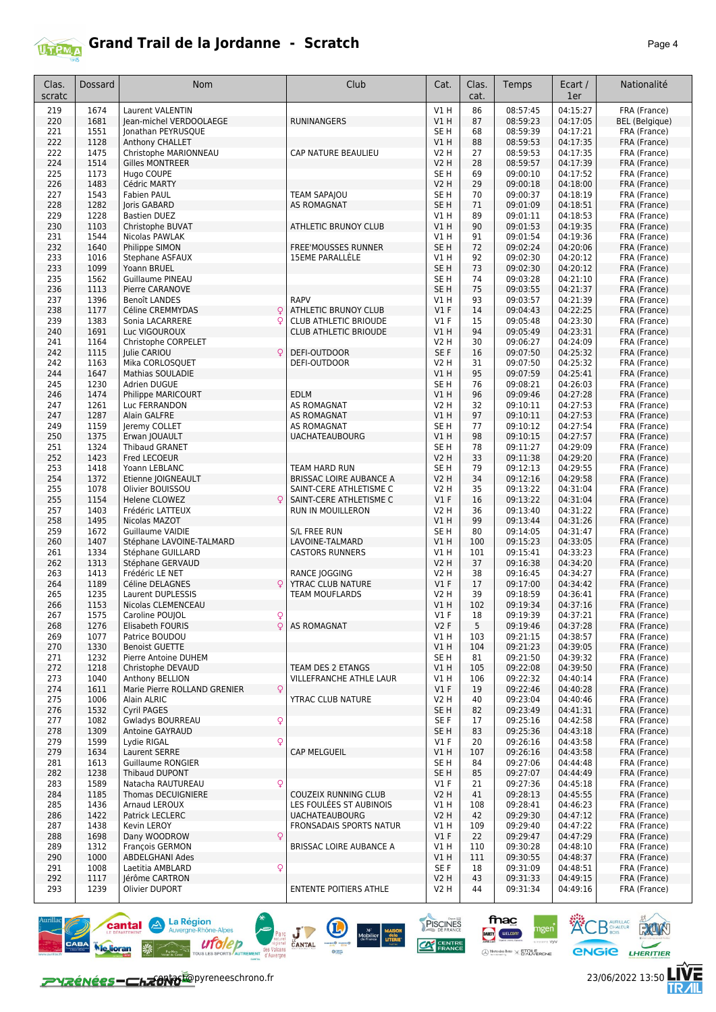

| Clas.<br>scratc | <b>Dossard</b> | Nom                                                  | Club                                               | Cat.                           | Clas.<br>cat. | Temps                | Ecart /<br>1er       | Nationalité                  |
|-----------------|----------------|------------------------------------------------------|----------------------------------------------------|--------------------------------|---------------|----------------------|----------------------|------------------------------|
| 219             | 1674           | <b>Laurent VALENTIN</b>                              |                                                    | V1H                            | 86            | 08:57:45             | 04:15:27             | FRA (France)                 |
| 220             | 1681           | Jean-michel VERDOOLAEGE                              | <b>RUNINANGERS</b>                                 | V1 H                           | 87            | 08:59:23             | 04:17:05             | <b>BEL</b> (Belgique)        |
| 221             | 1551           | Jonathan PEYRUSQUE                                   |                                                    | SE H                           | 68            | 08:59:39             | 04:17:21             | FRA (France)                 |
| 222             | 1128           | Anthony CHALLET                                      |                                                    | V1 H                           | 88            | 08:59:53             | 04:17:35             | FRA (France)                 |
| 222<br>224      | 1475<br>1514   | Christophe MARIONNEAU<br><b>Gilles MONTREER</b>      | CAP NATURE BEAULIEU                                | V2 H<br>V2 H                   | 27<br>28      | 08:59:53<br>08:59:57 | 04:17:35<br>04:17:39 | FRA (France)<br>FRA (France) |
| 225             | 1173           | Hugo COUPE                                           |                                                    | SE H                           | 69            | 09:00:10             | 04:17:52             | FRA (France)                 |
| 226             | 1483           | Cédric MARTY                                         |                                                    | V2 H                           | 29            | 09:00:18             | 04:18:00             | FRA (France)                 |
| 227             | 1543           | Fabien PAUL                                          | <b>TEAM SAPAJOU</b>                                | SE H                           | 70            | 09:00:37             | 04:18:19             | FRA (France)                 |
| 228             | 1282           | <b>Joris GABARD</b>                                  | <b>AS ROMAGNAT</b>                                 | SE <sub>H</sub>                | 71            | 09:01:09             | 04:18:51             | FRA (France)                 |
| 229             | 1228<br>1103   | <b>Bastien DUEZ</b><br>Christophe BUVAT              |                                                    | V1 H                           | 89            | 09:01:11             | 04:18:53<br>04:19:35 | FRA (France)                 |
| 230<br>231      | 1544           | Nicolas PAWLAK                                       | <b>ATHLETIC BRUNOY CLUB</b>                        | V1 H<br>V1 H                   | 90<br>91      | 09:01:53<br>09:01:54 | 04:19:36             | FRA (France)<br>FRA (France) |
| 232             | 1640           | Philippe SIMON                                       | <b>FREE'MOUSSES RUNNER</b>                         | SE H                           | 72            | 09:02:24             | 04:20:06             | FRA (France)                 |
| 233             | 1016           | Stephane ASFAUX                                      | <b>15EME PARALLELE</b>                             | V1 H                           | 92            | 09:02:30             | 04:20:12             | FRA (France)                 |
| 233             | 1099           | Yoann BRUEL                                          |                                                    | SE H                           | 73            | 09:02:30             | 04:20:12             | FRA (France)                 |
| 235             | 1562           | Guillaume PINEAU                                     |                                                    | SE H                           | 74            | 09:03:28             | 04:21:10             | FRA (France)                 |
| 236<br>237      | 1113<br>1396   | Pierre CARANOVE<br>Benoît LANDES                     | <b>RAPV</b>                                        | SE <sub>H</sub><br>V1 H        | 75<br>93      | 09:03:55<br>09:03:57 | 04:21:37<br>04:21:39 | FRA (France)<br>FRA (France) |
| 238             | 1177           | Céline CREMMYDAS<br>$\mathsf{Q}$                     | ATHLETIC BRUNOY CLUB                               | $VI$ F                         | 14            | 09:04:43             | 04:22:25             | FRA (France)                 |
| 239             | 1383           | Sonia LACARRERE                                      | <b>CLUB ATHLETIC BRIOUDE</b>                       | $VI$ F                         | 15            | 09:05:48             | 04:23:30             | FRA (France)                 |
| 240             | 1691           | Luc VIGOUROUX                                        | CLUB ATHLETIC BRIOUDE                              | V1H                            | 94            | 09:05:49             | 04:23:31             | FRA (France)                 |
| 241             | 1164           | Christophe CORPELET                                  |                                                    | V2 H                           | 30            | 09:06:27             | 04:24:09             | FRA (France)                 |
| 242<br>242      | 1115<br>1163   | Julie CARIOU<br>C<br>Mika CORLOSQUET                 | DEFI-OUTDOOR<br>DEFI-OUTDOOR                       | SE <sub>F</sub><br><b>V2 H</b> | 16<br>31      | 09:07:50<br>09:07:50 | 04:25:32<br>04:25:32 | FRA (France)<br>FRA (France) |
| 244             | 1647           | <b>Mathias SOULADIE</b>                              |                                                    | V1 H                           | 95            | 09:07:59             | 04:25:41             | FRA (France)                 |
| 245             | 1230           | Adrien DUGUE                                         |                                                    | SE H                           | 76            | 09:08:21             | 04:26:03             | FRA (France)                 |
| 246             | 1474           | Philippe MARICOURT                                   | <b>EDLM</b>                                        | V1 H                           | 96            | 09:09:46             | 04:27:28             | FRA (France)                 |
| 247             | 1261           | Luc FERRANDON                                        | <b>AS ROMAGNAT</b>                                 | V2 H                           | 32            | 09:10:11             | 04:27:53             | FRA (France)                 |
| 247             | 1287           | Alain GALFRE                                         | <b>AS ROMAGNAT</b>                                 | V1 H                           | 97            | 09:10:11             | 04:27:53             | FRA (France)                 |
| 249<br>250      | 1159<br>1375   | Jeremy COLLET<br>Erwan JOUAULT                       | <b>AS ROMAGNAT</b><br><b>UACHATEAUBOURG</b>        | SE H<br>V1 H                   | 77<br>98      | 09:10:12<br>09:10:15 | 04:27:54<br>04:27:57 | FRA (France)<br>FRA (France) |
| 251             | 1324           | <b>Thibaud GRANET</b>                                |                                                    | SE <sub>H</sub>                | 78            | 09:11:27             | 04:29:09             | FRA (France)                 |
| 252             | 1423           | Fred LECOEUR                                         |                                                    | V2 H                           | 33            | 09:11:38             | 04:29:20             | FRA (France)                 |
| 253             | 1418           | Yoann LEBLANC                                        | TEAM HARD RUN                                      | SE <sub>H</sub>                | 79            | 09:12:13             | 04:29:55             | FRA (France)                 |
| 254             | 1372           | Etienne JOIGNEAULT                                   | <b>BRISSAC LOIRE AUBANCE A</b>                     | <b>V2 H</b>                    | 34            | 09:12:16             | 04:29:58             | FRA (France)                 |
| 255<br>255      | 1078<br>1154   | Olivier BOUISSOU<br>Helene CLOWEZ<br>Q               | SAINT-CERE ATHLETISME C<br>SAINT-CERE ATHLETISME C | V2 H<br>$VI$ F                 | 35<br>16      | 09:13:22<br>09:13:22 | 04:31:04<br>04:31:04 | FRA (France)<br>FRA (France) |
| 257             | 1403           | Frédéric LATTEUX                                     | RUN IN MOUILLERON                                  | V2 H                           | 36            | 09:13:40             | 04:31:22             | FRA (France)                 |
| 258             | 1495           | Nicolas MAZOT                                        |                                                    | V1 H                           | 99            | 09:13:44             | 04:31:26             | FRA (France)                 |
| 259             | 1672           | Guillaume VAIDIE                                     | S/L FREE RUN                                       | SE H                           | 80            | 09:14:05             | 04:31:47             | FRA (France)                 |
| 260             | 1407           | Stéphane LAVOINE-TALMARD                             | LAVOINE-TALMARD                                    | V1 H                           | 100           | 09:15:23             | 04:33:05             | FRA (France)                 |
| 261<br>262      | 1334<br>1313   | Stéphane GUILLARD<br>Stéphane GERVAUD                | <b>CASTORS RUNNERS</b>                             | V1 H<br>V2 H                   | 101<br>37     | 09:15:41<br>09:16:38 | 04:33:23<br>04:34:20 | FRA (France)<br>FRA (France) |
| 263             | 1413           | Frédéric LE NET                                      | RANCE JOGGING                                      | V2 H                           | 38            | 09:16:45             | 04:34:27             | FRA (France)                 |
| 264             | 1189           | Céline DELAGNES                                      | YTRAC CLUB NATURE                                  | $VI$ F                         | 17            | 09:17:00             | 04:34:42             | FRA (France)                 |
| 265             | 1235           | Laurent DUPLESSIS                                    | TEAM MOUFLARDS                                     | V2 H                           | 39            | 09:18:59             | 04:36:41             | FRA (France)                 |
| 266             | 1153           | <b>Nicolas CLEMENCEAU</b>                            |                                                    | V1 H                           | 102           | 09:19:34             | 04:37:16             | FRA (France)                 |
| 267<br>268      | 1575           | Caroline POUJOL<br>Elisabeth FOURIS<br>Q             | AS ROMAGNAT                                        | V1F<br>V2F                     | 18<br>5       | 09:19:39<br>09:19:46 | 04:37:21<br>04:37:28 | FRA (France)                 |
| 269             | 1276<br>1077   | Patrice BOUDOU                                       |                                                    | VIH                            | 103           | 09:21:15             | 04:38:57             | FRA (France)<br>FRA (France) |
| 270             | 1330           | <b>Benoist GUETTE</b>                                |                                                    | V1 H                           | 104           | 09:21:23             | 04:39:05             | FRA (France)                 |
| 271             | 1232           | Pierre Antoine DUHEM                                 |                                                    | SE H                           | 81            | 09:21:50             | 04:39:32             | FRA (France)                 |
| 272             | 1218           | Christophe DEVAUD                                    | TEAM DES 2 ETANGS                                  | V1 H                           | 105           | 09:22:08             | 04:39:50             | FRA (France)                 |
| 273<br>274      | 1040<br>1611   | Anthony BELLION<br>Marie Pierre ROLLAND GRENIER<br>Q | VILLEFRANCHE ATHLE LAUR                            | V1 H<br>$VI$ F                 | 106<br>19     | 09:22:32<br>09:22:46 | 04:40:14<br>04:40:28 | FRA (France)<br>FRA (France) |
| 275             | 1006           | Alain ALRIC                                          | <b>YTRAC CLUB NATURE</b>                           | V2 H                           | 40            | 09:23:04             | 04:40:46             | FRA (France)                 |
| 276             | 1532           | Cyril PAGES                                          |                                                    | SE H                           | 82            | 09:23:49             | 04:41:31             | FRA (France)                 |
| 277             | 1082           | Q<br>Gwladys BOURREAU                                |                                                    | SE F                           | 17            | 09:25:16             | 04:42:58             | FRA (France)                 |
| 278             | 1309           | Antoine GAYRAUD                                      |                                                    | SE <sub>H</sub>                | 83            | 09:25:36             | 04:43:18             | FRA (France)                 |
| 279             | 1599           | Q<br>Lydie RIGAL                                     |                                                    | $VI$ F                         | 20            | 09:26:16             | 04:43:58             | FRA (France)                 |
| 279<br>281      | 1634<br>1613   | Laurent SERRE<br><b>Guillaume RONGIER</b>            | <b>CAP MELGUEIL</b>                                | V1 H<br>SE H                   | 107<br>84     | 09:26:16<br>09:27:06 | 04:43:58<br>04:44:48 | FRA (France)<br>FRA (France) |
| 282             | 1238           | Thibaud DUPONT                                       |                                                    | SE H                           | 85            | 09:27:07             | 04:44:49             | FRA (France)                 |
| 283             | 1589           | Q<br>Natacha RAUTUREAU                               |                                                    | $VI$ F                         | 21            | 09:27:36             | 04:45:18             | FRA (France)                 |
| 284             | 1185           | Thomas DECUIGNIERE                                   | COUZEIX RUNNING CLUB                               | V2 H                           | 41            | 09:28:13             | 04:45:55             | FRA (France)                 |
| 285             | 1436           | Arnaud LEROUX                                        | LES FOULÉES ST AUBINOIS                            | V1 H                           | 108           | 09:28:41             | 04:46:23             | FRA (France)                 |
| 286<br>287      | 1422<br>1438   | Patrick LECLERC<br>Kevin LEROY                       | <b>UACHATEAUBOURG</b><br>FRONSADAIS SPORTS NATUR   | <b>V2 H</b><br>V1 H            | 42<br>109     | 09:29:30<br>09:29:40 | 04:47:12<br>04:47:22 | FRA (France)<br>FRA (France) |
| 288             | 1698           | Q<br>Dany WOODROW                                    |                                                    | $VI$ F                         | 22            | 09:29:47             | 04:47:29             | FRA (France)                 |
| 289             | 1312           | <b>François GERMON</b>                               | BRISSAC LOIRE AUBANCE A                            | V1 H                           | 110           | 09:30:28             | 04:48:10             | FRA (France)                 |
| 290             | 1000           | <b>ABDELGHANI Ades</b>                               |                                                    | V1 H                           | 111           | 09:30:55             | 04:48:37             | FRA (France)                 |
| 291             | 1008           | Laetitia AMBLARD<br>Q                                |                                                    | SE F                           | 18            | 09:31:09             | 04:48:51             | FRA (France)                 |
| 292<br>293      | 1117<br>1239   | Jérôme CARTRON<br>Olivier DUPORT                     | ENTENTE POITIERS ATHLE                             | V2 H<br>V2 H                   | 43<br>44      | 09:31:33<br>09:31:34 | 04:49:15<br>04:49:16 | FRA (France)<br>FRA (France) |
|                 |                |                                                      |                                                    |                                |               |                      |                      |                              |

Parc J CANTAL COMPANY

∕∼

PISCINES

**CAT CENTRE** 

 $\begin{array}{ccc}\n\text{N}^{\text{r}} & \text{MAISOM} \\
\text{Mobilier} & \text{delo} \\
\text{de France} & \text{LITERIE} \\
\text{Autile}\n\end{array}$ 

fnac

gen

DARTY WELCOM

 $\bigoplus \underset{w \text{ vertices } \mathcal{C}}{\text{Merccedes } \text{Renz}} \times \underset{w}{\text{ETCILE}}$ 





**KOB** SCHALEUR **ROOM** 

**ENGIE LHERITIER** 

左<br>加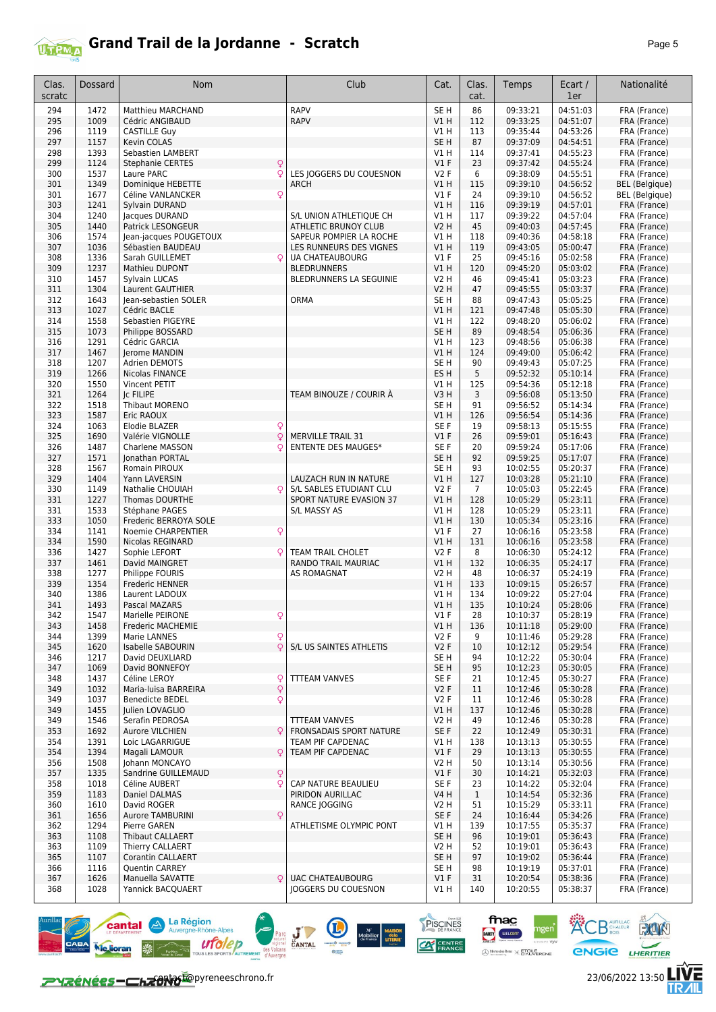

## **Grand Trail de la Jordanne - Scratch** *Page 5*

| Clas.<br>scratc | <b>Dossard</b> | Nom                                             | Club                                            | Cat.                    | Clas.<br>cat.  | Temps                | Ecart /<br>1er       | Nationalité                  |
|-----------------|----------------|-------------------------------------------------|-------------------------------------------------|-------------------------|----------------|----------------------|----------------------|------------------------------|
| 294             | 1472           | Matthieu MARCHAND                               | <b>RAPV</b>                                     | SE <sub>H</sub>         | 86             | 09:33:21             | 04:51:03             | FRA (France)                 |
| 295             | 1009           | Cédric ANGIBAUD                                 | <b>RAPV</b>                                     | VIH                     | 112            | 09:33:25             | 04:51:07             | FRA (France)                 |
| 296             | 1119           | <b>CASTILLE Guy</b>                             |                                                 | V1 H                    | 113            | 09:35:44             | 04:53:26             | FRA (France)                 |
| 297             | 1157           | Kevin COLAS                                     |                                                 | SE <sub>H</sub>         | 87             | 09:37:09             | 04:54:51             | FRA (France)                 |
| 298             | 1393           | Sebastien LAMBERT                               |                                                 | V1 H                    | 114            | 09:37:41             | 04:55:23             | FRA (France)                 |
| 299<br>300      | 1124<br>1537   | <b>Stephanie CERTES</b><br>Q<br>Q<br>Laure PARC | LES JOGGERS DU COUESNON                         | V1F<br><b>V2F</b>       | 23<br>6        | 09:37:42<br>09:38:09 | 04:55:24<br>04:55:51 | FRA (France)<br>FRA (France) |
| 301             | 1349           | Dominique HEBETTE                               | <b>ARCH</b>                                     | <b>V1 H</b>             | 115            | 09:39:10             | 04:56:52             | <b>BEL</b> (Belgique)        |
| 301             | 1677           | Céline VANLANCKER<br>Q                          |                                                 | $VI$ F                  | 24             | 09:39:10             | 04:56:52             | BEL (Belgique)               |
| 303             | 1241           | <b>Sylvain DURAND</b>                           |                                                 | V1H                     | 116            | 09:39:19             | 04:57:01             | FRA (France)                 |
| 304             | 1240           | Jacques DURAND                                  | S/L UNION ATHLETIQUE CH                         | V1 H                    | 117            | 09:39:22             | 04:57:04             | FRA (France)                 |
| 305             | 1440           | Patrick LESONGEUR                               | <b>ATHLETIC BRUNOY CLUB</b>                     | <b>V2 H</b>             | 45             | 09:40:03             | 04:57:45             | FRA (France)                 |
| 306             | 1574           | lean-jacques POUGETOUX                          | SAPEUR POMPIER LA ROCHE                         | V1 H                    | 118            | 09:40:36             | 04:58:18             | FRA (France)                 |
| 307             | 1036           | Sébastien BAUDEAU                               | LES RUNNEURS DES VIGNES                         | VIH                     | 119            | 09:43:05             | 05:00:47             | FRA (France)                 |
| 308<br>309      | 1336<br>1237   | Sarah GUILLEMET<br>Mathieu DUPONT               | UA CHATEAUBOURG<br><b>BLEDRUNNERS</b>           | $VI$ F<br>VIH           | 25<br>120      | 09:45:16<br>09:45:20 | 05:02:58<br>05:03:02 | FRA (France)<br>FRA (France) |
| 310             | 1457           | Sylvain LUCAS                                   | BLEDRUNNERS LA SEGUINIE                         | <b>V2 H</b>             | 46             | 09:45:41             | 05:03:23             | FRA (France)                 |
| 311             | 1304           | Laurent GAUTHIER                                |                                                 | <b>V2 H</b>             | 47             | 09:45:55             | 05:03:37             | FRA (France)                 |
| 312             | 1643           | Jean-sebastien SOLER                            | <b>ORMA</b>                                     | SE H                    | 88             | 09:47:43             | 05:05:25             | FRA (France)                 |
| 313             | 1027           | Cédric BACLE                                    |                                                 | V1 H                    | 121            | 09:47:48             | 05:05:30             | FRA (France)                 |
| 314             | 1558           | Sebastien PIGEYRE                               |                                                 | V1 H                    | 122            | 09:48:20             | 05:06:02             | FRA (France)                 |
| 315             | 1073           | Philippe BOSSARD                                |                                                 | SE <sub>H</sub>         | 89             | 09:48:54             | 05:06:36             | FRA (France)                 |
| 316             | 1291           | Cédric GARCIA                                   |                                                 | V1 H                    | 123            | 09:48:56             | 05:06:38             | FRA (France)                 |
| 317             | 1467           | <b>Ierome MANDIN</b>                            |                                                 | VIH                     | 124            | 09:49:00             | 05:06:42             | FRA (France)                 |
| 318<br>319      | 1207<br>1266   | Adrien DEMOTS<br><b>Nicolas FINANCE</b>         |                                                 | SE H<br>ES H            | 90<br>5        | 09:49:43<br>09:52:32 | 05:07:25<br>05:10:14 | FRA (France)<br>FRA (France) |
| 320             | 1550           | Vincent PETIT                                   |                                                 | V1 H                    | 125            | 09:54:36             | 05:12:18             | FRA (France)                 |
| 321             | 1264           | <b>IC FILIPE</b>                                | TEAM BINOUZE / COURIR À                         | V3H                     | 3              | 09:56:08             | 05:13:50             | FRA (France)                 |
| 322             | 1518           | Thibaut MORENO                                  |                                                 | SE H                    | 91             | 09:56:52             | 05:14:34             | FRA (France)                 |
| 323             | 1587           | Eric RAOUX                                      |                                                 | V1H                     | 126            | 09:56:54             | 05:14:36             | FRA (France)                 |
| 324             | 1063           | Elodie BLAZER<br>Q                              |                                                 | SE F                    | 19             | 09:58:13             | 05:15:55             | FRA (France)                 |
| 325             | 1690           | Q<br>Valérie VIGNOLLE                           | <b>MERVILLE TRAIL 31</b>                        | $VI$ F                  | 26             | 09:59:01             | 05:16:43             | FRA (France)                 |
| 326             | 1487           | Charlene MASSON<br>Ç                            | <b>ENTENTE DES MAUGES*</b>                      | SE F                    | 20             | 09:59:24             | 05:17:06             | FRA (France)                 |
| 327<br>328      | 1571<br>1567   | Jonathan PORTAL<br>Romain PIROUX                |                                                 | SE <sub>H</sub><br>SE H | 92<br>93       | 09:59:25<br>10:02:55 | 05:17:07<br>05:20:37 | FRA (France)<br>FRA (France) |
| 329             | 1404           | Yann LAVERSIN                                   | LAUZACH RUN IN NATURE                           | V1H                     | 127            | 10:03:28             | 05:21:10             | FRA (France)                 |
| 330             | 1149           | Nathalie CHOUIAH                                | S/L SABLES ETUDIANT CLU                         | <b>V2F</b>              | $\overline{7}$ | 10:05:03             | 05:22:45             | FRA (France)                 |
| 331             | 1227           | <b>Thomas DOURTHE</b>                           | SPORT NATURE EVASION 37                         | VIH                     | 128            | 10:05:29             | 05:23:11             | FRA (France)                 |
| 331             | 1533           | Stéphane PAGES                                  | S/L MASSY AS                                    | V1 H                    | 128            | 10:05:29             | 05:23:11             | FRA (France)                 |
| 333             | 1050           | Frederic BERROYA SOLE                           |                                                 | VIH                     | 130            | 10:05:34             | 05:23:16             | FRA (France)                 |
| 334             | 1141           | Q<br>Noemie CHARPENTIER                         |                                                 | $VI$ F                  | 27             | 10:06:16             | 05:23:58             | FRA (France)                 |
| 334             | 1590           | Nicolas REGINARD                                |                                                 | V1H                     | 131            | 10:06:16             | 05:23:58             | FRA (France)                 |
| 336<br>337      | 1427<br>1461   | Sophie LEFORT<br>David MAINGRET                 | <b>TEAM TRAIL CHOLET</b><br>RANDO TRAIL MAURIAC | V2F<br>VIH              | 8<br>132       | 10:06:30<br>10:06:35 | 05:24:12<br>05:24:17 | FRA (France)<br>FRA (France) |
| 338             | 1277           | Philippe FOURIS                                 | <b>AS ROMAGNAT</b>                              | V2 H                    | 48             | 10:06:37             | 05:24:19             | FRA (France)                 |
| 339             | 1354           | Frederic HENNER                                 |                                                 | <b>V1 H</b>             | 133            | 10:09:15             | 05:26:57             | FRA (France)                 |
| 340             | 1386           | Laurent LADOUX                                  |                                                 | V1 H                    | 134            | 10:09:22             | 05:27:04             | FRA (France)                 |
| 341             | 1493           | Pascal MAZARS                                   |                                                 | <b>V1 H</b>             | 135            | 10:10:24             | 05:28:06             | FRA (France)                 |
| 342             | 1547           | Marielle PEIRONE<br>Q                           |                                                 | V1F                     | 28             | 10:10:37             | 05:28:19             | FRA (France)                 |
| 343             | 1458           | Frederic MACHEMIE                               |                                                 | V1H                     | 136            | 10:11:18             | 05:29:00             | FRA (France)                 |
| 344             | 1399           | Marie LANNES<br>Q<br>Q                          |                                                 | V2F                     | 9              | 10:11:46             | 05:29:28             | FRA (France)                 |
| 345<br>346      | 1620<br>1217   | Isabelle SABOURIN<br>David DEUXLIARD            | S/L US SAINTES ATHLETIS                         | V2F<br>SE H             | 10<br>94       | 10:12:12<br>10:12:22 | 05:29:54<br>05:30:04 | FRA (France)<br>FRA (France) |
| 347             | 1069           | David BONNEFOY                                  |                                                 | SE H                    | 95             | 10:12:23             | 05:30:05             | FRA (France)                 |
| 348             | 1437           | Céline LEROY<br>Q                               | <b>TTTEAM VANVES</b>                            | SE F                    | 21             | 10:12:45             | 05:30:27             | FRA (France)                 |
| 349             | 1032           | $\mathsf{Q}$<br>Maria-luisa BARREIRA            |                                                 | V2F                     | 11             | 10:12:46             | 05:30:28             | FRA (France)                 |
| 349             | 1037           | $\mathsf{Q}$<br><b>Benedicte BEDEL</b>          |                                                 | <b>V2F</b>              | 11             | 10:12:46             | 05:30:28             | FRA (France)                 |
| 349             | 1455           | Julien LOVAGLIO                                 |                                                 | V1H                     | 137            | 10:12:46             | 05:30:28             | FRA (France)                 |
| 349             | 1546           | Serafin PEDROSA                                 | <b>TTTEAM VANVES</b>                            | V2 H                    | 49             | 10:12:46             | 05:30:28             | FRA (France)                 |
| 353<br>354      | 1692<br>1391   | Aurore VILCHIEN<br>Q<br>Loic LAGARRIGUE         | FRONSADAIS SPORT NATURE<br>TEAM PIF CAPDENAC    | SE F<br>V1 H            | 22<br>138      | 10:12:49<br>10:13:13 | 05:30:31<br>05:30:55 | FRA (France)<br>FRA (France) |
| 354             | 1394           | Magali LAMOUR<br>Q                              | TEAM PIF CAPDENAC                               | $VI$ F                  | 29             | 10:13:13             | 05:30:55             | FRA (France)                 |
| 356             | 1508           | Johann MONCAYO                                  |                                                 | V2 H                    | 50             | 10:13:14             | 05:30:56             | FRA (France)                 |
| 357             | 1335           | Sandrine GUILLEMAUD<br>Q                        |                                                 | V1 F                    | 30             | 10:14:21             | 05:32:03             | FRA (France)                 |
| 358             | 1018           | Q<br>Céline AUBERT                              | CAP NATURE BEAULIEU                             | SE F                    | 23             | 10:14:22             | 05:32:04             | FRA (France)                 |
| 359             | 1183           | Daniel DALMAS                                   | PIRIDON AURILLAC                                | V4 H                    | $\mathbf{1}$   | 10:14:54             | 05:32:36             | FRA (France)                 |
| 360             | 1610           | David ROGER                                     | RANCE JOGGING                                   | V2 H                    | 51             | 10:15:29             | 05:33:11             | FRA (France)                 |
| 361             | 1656           | <b>Aurore TAMBURINI</b><br>Q                    |                                                 | SE F                    | 24             | 10:16:44             | 05:34:26             | FRA (France)                 |
| 362<br>363      | 1294<br>1108   | Pierre GAREN<br>Thibaut CALLAERT                | ATHLETISME OLYMPIC PONT                         | V1 H<br>SE H            | 139<br>96      | 10:17:55<br>10:19:01 | 05:35:37<br>05:36:43 | FRA (France)<br>FRA (France) |
| 363             | 1109           | Thierry CALLAERT                                |                                                 | V2 H                    | 52             | 10:19:01             | 05:36:43             | FRA (France)                 |
| 365             | 1107           | Corantin CALLAERT                               |                                                 | SE H                    | 97             | 10:19:02             | 05:36:44             | FRA (France)                 |
| 366             | 1116           | Quentin CARREY                                  |                                                 | SE H                    | 98             | 10:19:19             | 05:37:01             | FRA (France)                 |
| 367             | 1626           | Manuella SAVATTE<br>Q                           | <b>UAC CHATEAUBOURG</b>                         | $VI$ F                  | 31             | 10:20:54             | 05:38:36             | FRA (France)                 |
| 368             | 1028           | Yannick BACQUAERT                               | <b>JOGGERS DU COUESNON</b>                      | V1 H                    | 140            | 10:20:55             | 05:38:37             | FRA (France)                 |

Parc **J CANTAL** 

PISCINES

**CAT CENTRE** 

 $\begin{tabular}{c|c} & \multicolumn{1}{c}{M} & \multicolumn{1}{c}{MASOM} \\ \hline & Mobilier & delo \\ & de France & LITERIE \\ & & \multicolumn{1}{c}{MASOM} \\ \hline \end{tabular}$ 

fnac

ngen<sup>\*</sup>

DARTY WELCOM

 $\bigoplus \underset{w: \text{otherwise } \mathbb{R}}{\text{Merodes } \text{Renz}} \times \underset{w}{\text{ETOLERONE}}$ 





人<br>加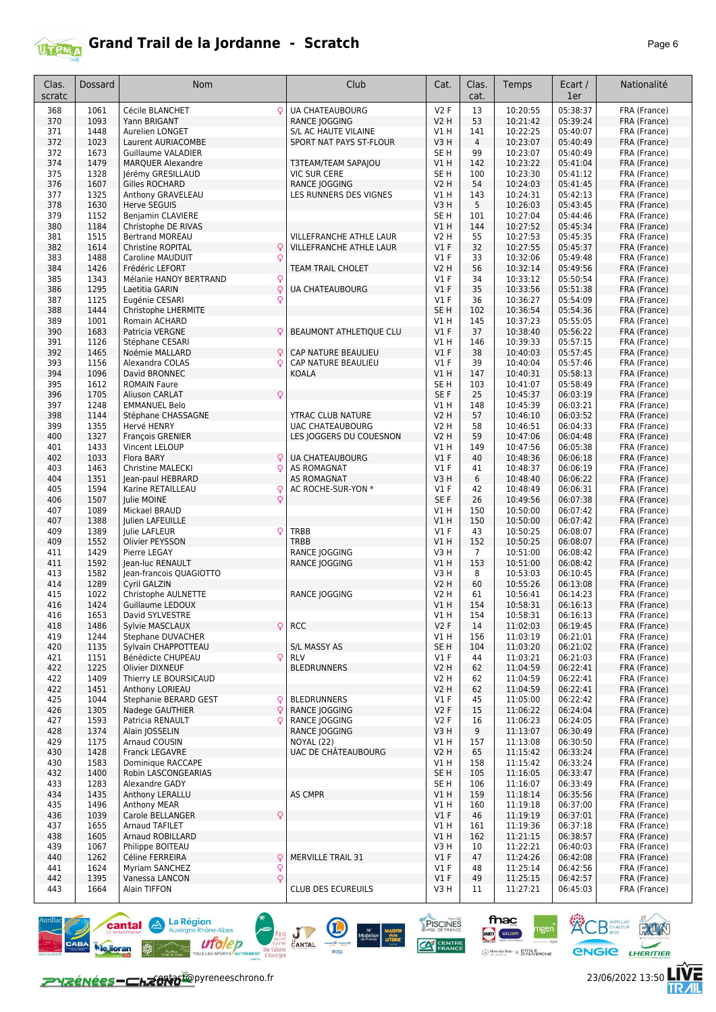

| Clas.<br>scratc | <b>Dossard</b> | Nom                                              | Club                                  | Cat.                      | Clas.<br>cat.  | Temps                | Ecart /<br>1er       | Nationalité                  |
|-----------------|----------------|--------------------------------------------------|---------------------------------------|---------------------------|----------------|----------------------|----------------------|------------------------------|
| 368             | 1061           | Q<br>Cécile BLANCHET                             | <b>UA CHATEAUBOURG</b>                | V2F                       | 13             | 10:20:55             | 05:38:37             | FRA (France)                 |
| 370             | 1093           | Yann BRIGANT                                     | RANCE JOGGING                         | <b>V2 H</b>               | 53             | 10:21:42             | 05:39:24             | FRA (France)                 |
| 371             | 1448           | Aurelien LONGET                                  | S/L AC HAUTE VILAINE                  | V1 H                      | 141            | 10:22:25             | 05:40:07             | FRA (France)                 |
| 372             | 1023           | Laurent AURIACOMBE<br>Guillaume VALADIER         | SPORT NAT PAYS ST-FLOUR               | V3H                       | 4<br>99        | 10:23:07             | 05:40:49<br>05:40:49 | FRA (France)                 |
| 372<br>374      | 1673<br>1479   | <b>MARQUER Alexandre</b>                         | T3TEAM/TEAM SAPAJOU                   | SE <sub>H</sub><br>V1H    | 142            | 10:23:07<br>10:23:22 | 05:41:04             | FRA (France)<br>FRA (France) |
| 375             | 1328           | Jérémy GRESILLAUD                                | <b>VIC SUR CERE</b>                   | SE H                      | 100            | 10:23:30             | 05:41:12             | FRA (France)                 |
| 376             | 1607           | Gilles ROCHARD                                   | RANCE JOGGING                         | <b>V2 H</b>               | 54             | 10:24:03             | 05:41:45             | FRA (France)                 |
| 377             | 1325           | Anthony GRAVELEAU                                | LES RUNNERS DES VIGNES                | V1 H                      | 143            | 10:24:31             | 05:42:13             | FRA (France)                 |
| 378             | 1630           | <b>Herve SEGUIS</b>                              |                                       | V3H                       | 5              | 10:26:03             | 05:43:45             | FRA (France)                 |
| 379<br>380      | 1152<br>1184   | Benjamin CLAVIERE                                |                                       | SE <sub>H</sub><br>VIH    | 101<br>144     | 10:27:04<br>10:27:52 | 05:44:46<br>05:45:34 | FRA (France)                 |
| 381             | 1515           | Christophe DE RIVAS<br><b>Bertrand MOREAU</b>    | <b>VILLEFRANCHE ATHLE LAUR</b>        | <b>V2 H</b>               | 55             | 10:27:53             | 05:45:35             | FRA (France)<br>FRA (France) |
| 382             | 1614           | Q<br><b>Christine ROPITAL</b>                    | VILLEFRANCHE ATHLE LAUR               | $VI$ F                    | 32             | 10:27:55             | 05:45:37             | FRA (France)                 |
| 383             | 1488           | Q<br>Caroline MAUDUIT                            |                                       | <b>V1 F</b>               | 33             | 10:32:06             | 05:49:48             | FRA (France)                 |
| 384             | 1426           | Frédéric LEFORT                                  | <b>TEAM TRAIL CHOLET</b>              | V2 H                      | 56             | 10:32:14             | 05:49:56             | FRA (France)                 |
| 385             | 1343           | Mélanie HANOY BERTRAND<br>Q                      |                                       | <b>V1 F</b>               | 34             | 10:33:12             | 05:50:54             | FRA (France)                 |
| 386             | 1295           | Q<br>Laetitia GARIN                              | <b>UA CHATEAUBOURG</b>                | V1F                       | 35             | 10:33:56             | 05:51:38             | FRA (France)                 |
| 387<br>388      | 1125<br>1444   | Eugénie CESARI<br>Q<br>Christophe LHERMITE       |                                       | $VI$ F<br>SE <sub>H</sub> | 36<br>102      | 10:36:27<br>10:36:54 | 05:54:09<br>05:54:36 | FRA (France)<br>FRA (France) |
| 389             | 1001           | Romain ACHARD                                    |                                       | V1 H                      | 145            | 10:37:23             | 05:55:05             | FRA (France)                 |
| 390             | 1683           | Patricia VERGNE<br>Q                             | BEAUMONT ATHLETIQUE CLU               | $VI$ F                    | 37             | 10:38:40             | 05:56:22             | FRA (France)                 |
| 391             | 1126           | Stéphane CESARI                                  |                                       | V1 H                      | 146            | 10:39:33             | 05:57:15             | FRA (France)                 |
| 392             | 1465           | Noémie MALLARD<br>Q                              | CAP NATURE BEAULIEU                   | $VI$ F                    | 38             | 10:40:03             | 05:57:45             | FRA (France)                 |
| 393             | 1156           | Alexandra COLAS<br>Q                             | CAP NATURE BEAULIEU                   | $VI$ F                    | 39             | 10:40:04             | 05:57:46             | FRA (France)                 |
| 394             | 1096           | David BRONNEC<br><b>ROMAIN Faure</b>             | KOALA                                 | V1 H                      | 147            | 10:40:31             | 05:58:13             | FRA (France)                 |
| 395<br>396      | 1612<br>1705   | $\mathsf{Q}$<br><b>Aliuson CARLAT</b>            |                                       | SE H<br>SE F              | 103<br>25      | 10:41:07<br>10:45:37 | 05:58:49<br>06:03:19 | FRA (France)<br>FRA (France) |
| 397             | 1248           | <b>EMMANUEL Belo</b>                             |                                       | V1 H                      | 148            | 10:45:39             | 06:03:21             | FRA (France)                 |
| 398             | 1144           | Stéphane CHASSAGNE                               | YTRAC CLUB NATURE                     | <b>V2 H</b>               | 57             | 10:46:10             | 06:03:52             | FRA (France)                 |
| 399             | 1355           | Hervé HENRY                                      | <b>UAC CHATEAUBOURG</b>               | <b>V2 H</b>               | 58             | 10:46:51             | 06:04:33             | FRA (France)                 |
| 400             | 1327           | François GRENIER                                 | LES JOGGERS DU COUESNON               | <b>V2 H</b>               | 59             | 10:47:06             | 06:04:48             | FRA (France)                 |
| 401             | 1433           | Vincent LELOUP                                   |                                       | V1 H                      | 149            | 10:47:56             | 06:05:38             | FRA (France)                 |
| 402<br>403      | 1033<br>1463   | Flora BARY<br>Q<br><b>Christine MALECKI</b><br>Q | <b>UA CHATEAUBOURG</b><br>AS ROMAGNAT | $VI$ F<br><b>V1 F</b>     | 40<br>41       | 10:48:36<br>10:48:37 | 06:06:18<br>06:06:19 | FRA (France)<br>FRA (France) |
| 404             | 1351           | Jean-paul HEBRARD                                | <b>AS ROMAGNAT</b>                    | V3H                       | 6              | 10:48:40             | 06:06:22             | FRA (France)                 |
| 405             | 1594           | Karine RETAILLEAU<br>Q                           | AC ROCHE-SUR-YON *                    | $VI$ F                    | 42             | 10:48:49             | 06:06:31             | FRA (France)                 |
| 406             | 1507           | Julie MOINE<br>Q                                 |                                       | SE F                      | 26             | 10:49:56             | 06:07:38             | FRA (France)                 |
| 407             | 1089           | Mickael BRAUD                                    |                                       | V1 H                      | 150            | 10:50:00             | 06:07:42             | FRA (France)                 |
| 407             | 1388           | Julien LAFEUILLE                                 |                                       | V1 H                      | 150            | 10:50:00             | 06:07:42             | FRA (France)                 |
| 409<br>409      | 1389<br>1552   | Q<br>Julie LAFLEUR<br>Olivier PEYSSON            | TRBB<br><b>TRBB</b>                   | $VI$ F<br>VIH             | 43<br>152      | 10:50:25<br>10:50:25 | 06:08:07<br>06:08:07 | FRA (France)<br>FRA (France) |
| 411             | 1429           | Pierre LEGAY                                     | RANCE JOGGING                         | V3H                       | $\overline{7}$ | 10:51:00             | 06:08:42             | FRA (France)                 |
| 411             | 1592           | Jean-luc RENAULT                                 | RANCE JOGGING                         | <b>V1 H</b>               | 153            | 10:51:00             | 06:08:42             | FRA (France)                 |
| 413             | 1582           | Jean-francois QUAGIOTTO                          |                                       | V3H                       | 8              | 10:53:03             | 06:10:45             | FRA (France)                 |
| 414             | 1289           | Cyril GALZIN                                     |                                       | <b>V2 H</b>               | 60             | 10:55:26             | 06:13:08             | FRA (France)                 |
| 415             | 1022           | Christophe AULNETTE                              | RANCE JOGGING                         | V2 H                      | 61             | 10:56:41             | 06:14:23             | FRA (France)                 |
| 416<br>416      | 1424<br>1653   | Guillaume LEDOUX<br>David SYLVESTRE              |                                       | <b>V1 H</b><br>V1 H       | 154<br>154     | 10:58:31<br>10:58:31 | 06:16:13<br>06:16:13 | FRA (France)<br>FRA (France) |
| 418             | 1486           | $\mathsf{Q}$<br>Sylvie MASCLAUX                  | <b>RCC</b>                            | V2F                       | 14             | 11:02:03             | 06:19:45             | FRA (France)                 |
| 419             | 1244           | Stephane DUVACHER                                |                                       | VIH                       | 156            | 11:03:19             | 06:21:01             | FRA (France)                 |
| 420             | 1135           | Sylvain CHAPPOTTEAU                              | S/L MASSY AS                          | SE H                      | 104            | 11:03:20             | 06:21:02             | FRA (France)                 |
| 421             | 1151           | Q<br>Bénédicte CHUPEAU                           | <b>RLV</b>                            | $VI$ F                    | 44             | 11:03:21             | 06:21:03             | FRA (France)                 |
| 422             | 1225           | Olivier DIXNEUF                                  | <b>BLEDRUNNERS</b>                    | <b>V2 H</b>               | 62             | 11:04:59             | 06:22:41             | FRA (France)                 |
| 422<br>422      | 1409<br>1451   | Thierry LE BOURSICAUD<br>Anthony LORIEAU         |                                       | V2 H<br><b>V2 H</b>       | 62<br>62       | 11:04:59<br>11:04:59 | 06:22:41<br>06:22:41 | FRA (France)<br>FRA (France) |
| 425             | 1044           | Stephanie BERARD GEST<br>ç                       | <b>BLEDRUNNERS</b>                    | $VI$ F                    | 45             | 11:05:00             | 06:22:42             | FRA (France)                 |
| 426             | 1305           | Q<br>Nadege GAUTHIER                             | RANCE JOGGING                         | V2F                       | 15             | 11:06:22             | 06:24:04             | FRA (France)                 |
| 427             | 1593           | Patricia RENAULT<br>¢                            | <b>RANCE JOGGING</b>                  | V2F                       | 16             | 11:06:23             | 06:24:05             | FRA (France)                 |
| 428             | 1374           | Alain JOSSELIN                                   | RANCE JOGGING                         | V3H                       | 9              | 11:13:07             | 06:30:49             | FRA (France)                 |
| 429             | 1175           | Arnaud COUSIN                                    | NOYAL (22)                            | V1 H                      | 157            | 11:13:08             | 06:30:50             | FRA (France)                 |
| 430<br>430      | 1428<br>1583   | <b>Franck LEGAVRE</b><br>Dominique RACCAPE       | UAC DE CHÂTEAUBOURG                   | <b>V2 H</b><br>V1 H       | 65<br>158      | 11:15:42<br>11:15:42 | 06:33:24<br>06:33:24 | FRA (France)<br>FRA (France) |
| 432             | 1400           | Robin LASCONGEARIAS                              |                                       | SE H                      | 105            | 11:16:05             | 06:33:47             | FRA (France)                 |
| 433             | 1283           | Alexandre GADY                                   |                                       | SE H                      | 106            | 11:16:07             | 06:33:49             | FRA (France)                 |
| 434             | 1435           | Anthony LERALLU                                  | AS CMPR                               | V1 H                      | 159            | 11:18:14             | 06:35:56             | FRA (France)                 |
| 435             | 1496           | Anthony MEAR                                     |                                       | V1 H                      | 160            | 11:19:18             | 06:37:00             | FRA (France)                 |
| 436             | 1039           | Carole BELLANGER<br>Q                            |                                       | V1F                       | 46             | 11:19:19             | 06:37:01             | FRA (France)                 |
| 437             | 1655           | Arnaud TAFILET                                   |                                       | V1 H                      | 161            | 11:19:36             | 06:37:18             | FRA (France)                 |
| 438<br>439      | 1605<br>1067   | Arnaud ROBILLARD<br>Philippe BOITEAU             |                                       | V1H<br>V3H                | 162<br>10      | 11:21:15<br>11:22:21 | 06:38:57<br>06:40:03 | FRA (France)<br>FRA (France) |
| 440             | 1262           | Céline FERREIRA<br>Q                             | MERVILLE TRAIL 31                     | $VI$ F                    | 47             | 11:24:26             | 06:42:08             | FRA (France)                 |
| 441             | 1624           | Myriam SANCHEZ<br>Q                              |                                       | $VI$ F                    | 48             | 11:25:14             | 06:42:56             | FRA (France)                 |
| 442             | 1395           | $\mathsf{Q}$<br>Vanessa LANCON                   |                                       | $VI$ F                    | 49             | 11:25:15             | 06:42:57             | FRA (France)                 |
| 443             | 1664           | Alain TIFFON                                     | <b>CLUB DES ECUREUILS</b>             | V3 H                      | 11             | 11:27:21             | 06:45:03             | FRA (France)                 |

Parc **J CANTAL** 

 $\sum_{i=1}^{n}$ 

PISCINES

**CAT CENTRE** 

 $\begin{array}{ccc}\n\text{N}^{\text{r}} & \text{MAISOM} \\
\text{Mobilier} & \text{delo} \\
\text{de France} & \text{LITERIE} \\
\text{Autile}\n\end{array}$ 

fnac

DARTY WELCOM

 $\bigoplus \underset{w \text{ vertices } \mathcal{C}}{\text{Merccedes } \text{Renz}} \times \underset{w}{\text{ETCILE}}$ 

gen'



左<br>加

**KOB** SCHALEUR **ROOM**